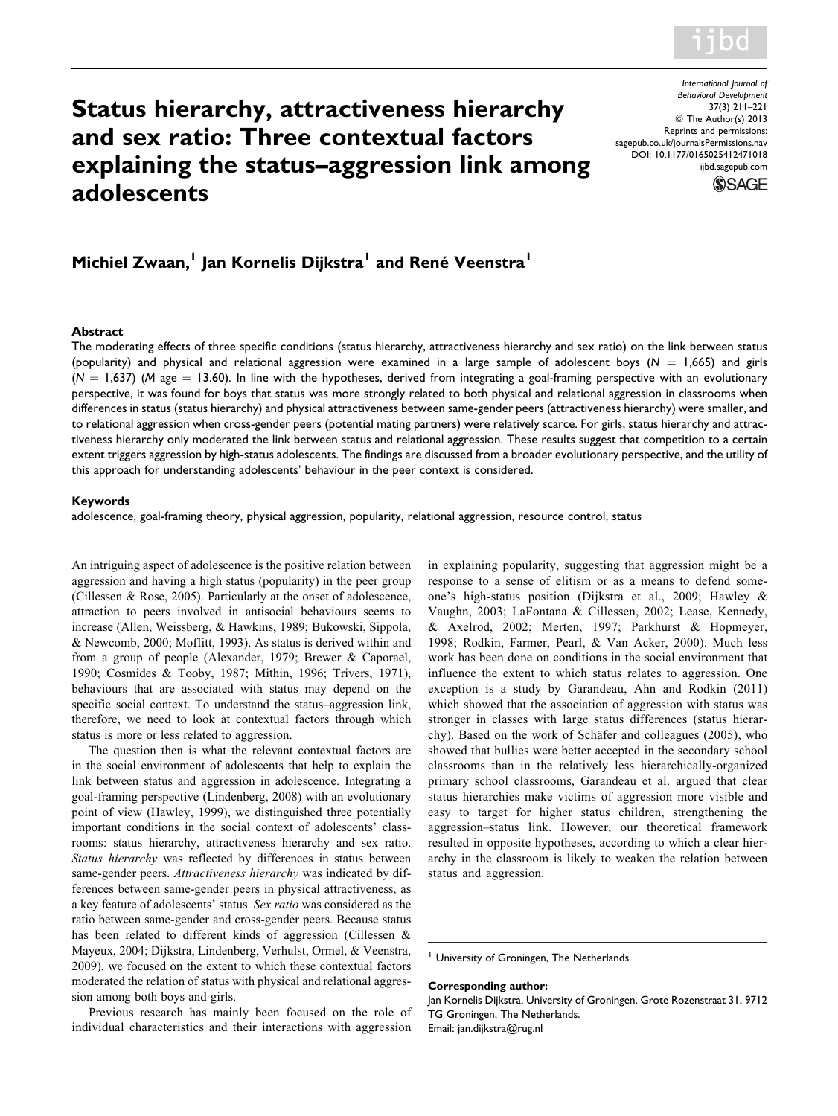

# Status hierarchy, attractiveness hierarchy and sex ratio: Three contextual factors explaining the status–aggression link among adolescents

International Journal of Behavioral Development 37(3) 211–221 © The Author(s) 2013 Reprints and permissions: [sagepub.co.uk/journalsPermissions.nav](http://www.sagepub.co.uk/journalsPermissions.nav) DOI: 10.1177/0165025412471018 [ijbd.sagepub.com](http://ijbd.sagepub.com)



## Michiel Zwaan,<sup>1</sup> Jan Kornelis Dijkstra<sup>1</sup> and René Veenstra<sup>1</sup>

#### Abstract

The moderating effects of three specific conditions (status hierarchy, attractiveness hierarchy and sex ratio) on the link between status (popularity) and physical and relational aggression were examined in a large sample of adolescent boys ( $N = 1,665$ ) and girls  $(N = 1,637)$  (M age = 13.60). In line with the hypotheses, derived from integrating a goal-framing perspective with an evolutionary perspective, it was found for boys that status was more strongly related to both physical and relational aggression in classrooms when differences in status (status hierarchy) and physical attractiveness between same-gender peers (attractiveness hierarchy) were smaller, and to relational aggression when cross-gender peers (potential mating partners) were relatively scarce. For girls, status hierarchy and attractiveness hierarchy only moderated the link between status and relational aggression. These results suggest that competition to a certain extent triggers aggression by high-status adolescents. The findings are discussed from a broader evolutionary perspective, and the utility of this approach for understanding adolescents' behaviour in the peer context is considered.

#### Keywords

adolescence, goal-framing theory, physical aggression, popularity, relational aggression, resource control, status

An intriguing aspect of adolescence is the positive relation between aggression and having a high status (popularity) in the peer group (Cillessen & Rose, 2005). Particularly at the onset of adolescence, attraction to peers involved in antisocial behaviours seems to increase (Allen, Weissberg, & Hawkins, 1989; Bukowski, Sippola, & Newcomb, 2000; Moffitt, 1993). As status is derived within and from a group of people (Alexander, 1979; Brewer & Caporael, 1990; Cosmides & Tooby, 1987; Mithin, 1996; Trivers, 1971), behaviours that are associated with status may depend on the specific social context. To understand the status–aggression link, therefore, we need to look at contextual factors through which status is more or less related to aggression.

The question then is what the relevant contextual factors are in the social environment of adolescents that help to explain the link between status and aggression in adolescence. Integrating a goal-framing perspective (Lindenberg, 2008) with an evolutionary point of view (Hawley, 1999), we distinguished three potentially important conditions in the social context of adolescents' classrooms: status hierarchy, attractiveness hierarchy and sex ratio. Status hierarchy was reflected by differences in status between same-gender peers. Attractiveness hierarchy was indicated by differences between same-gender peers in physical attractiveness, as a key feature of adolescents' status. Sex ratio was considered as the ratio between same-gender and cross-gender peers. Because status has been related to different kinds of aggression (Cillessen & Mayeux, 2004; Dijkstra, Lindenberg, Verhulst, Ormel, & Veenstra, 2009), we focused on the extent to which these contextual factors moderated the relation of status with physical and relational aggression among both boys and girls.

Previous research has mainly been focused on the role of individual characteristics and their interactions with aggression in explaining popularity, suggesting that aggression might be a response to a sense of elitism or as a means to defend someone's high-status position (Dijkstra et al., 2009; Hawley & Vaughn, 2003; LaFontana & Cillessen, 2002; Lease, Kennedy, & Axelrod, 2002; Merten, 1997; Parkhurst & Hopmeyer, 1998; Rodkin, Farmer, Pearl, & Van Acker, 2000). Much less work has been done on conditions in the social environment that influence the extent to which status relates to aggression. One exception is a study by Garandeau, Ahn and Rodkin (2011) which showed that the association of aggression with status was stronger in classes with large status differences (status hierarchy). Based on the work of Schäfer and colleagues (2005), who showed that bullies were better accepted in the secondary school classrooms than in the relatively less hierarchically-organized primary school classrooms, Garandeau et al. argued that clear status hierarchies make victims of aggression more visible and easy to target for higher status children, strengthening the aggression–status link. However, our theoretical framework resulted in opposite hypotheses, according to which a clear hierarchy in the classroom is likely to weaken the relation between status and aggression.

<sup>1</sup> University of Groningen, The Netherlands

#### Corresponding author:

Jan Kornelis Dijkstra, University of Groningen, Grote Rozenstraat 31, 9712 TG Groningen, The Netherlands. Email: jan.dijkstra@rug.nl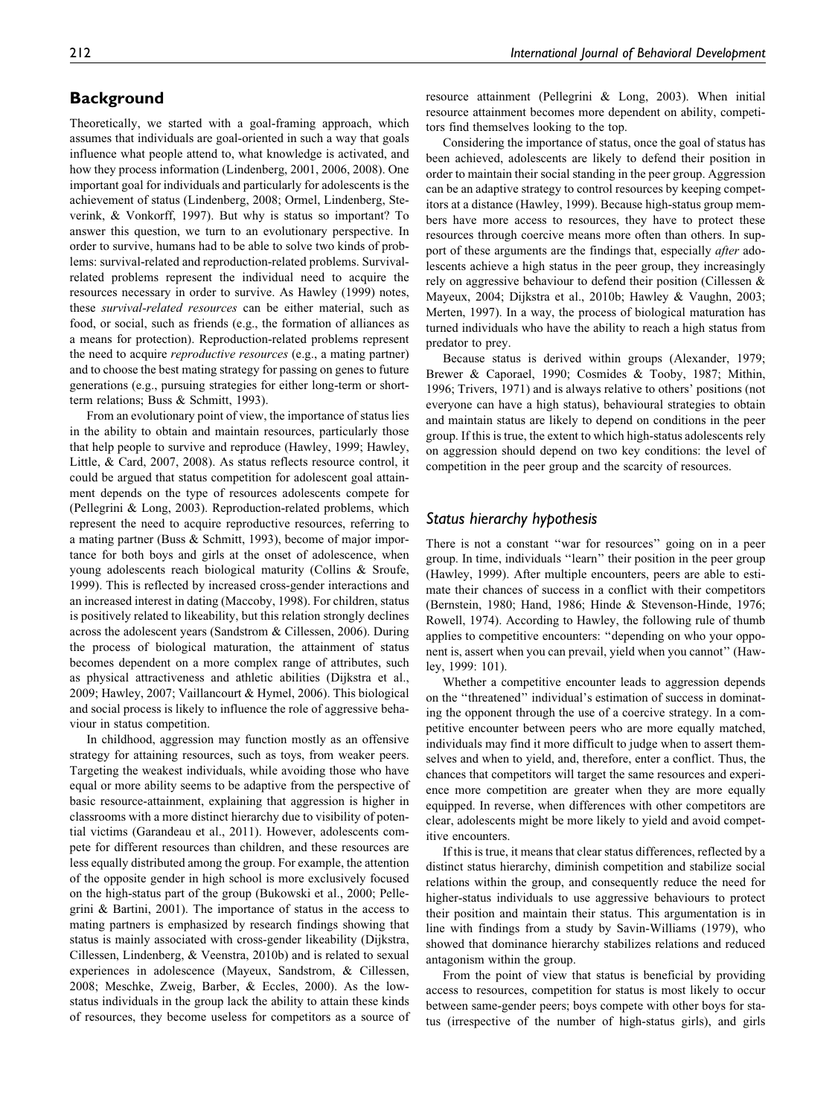## **Background**

Theoretically, we started with a goal-framing approach, which assumes that individuals are goal-oriented in such a way that goals influence what people attend to, what knowledge is activated, and how they process information (Lindenberg, 2001, 2006, 2008). One important goal for individuals and particularly for adolescents is the achievement of status (Lindenberg, 2008; Ormel, Lindenberg, Steverink, & Vonkorff, 1997). But why is status so important? To answer this question, we turn to an evolutionary perspective. In order to survive, humans had to be able to solve two kinds of problems: survival-related and reproduction-related problems. Survivalrelated problems represent the individual need to acquire the resources necessary in order to survive. As Hawley (1999) notes, these survival-related resources can be either material, such as food, or social, such as friends (e.g., the formation of alliances as a means for protection). Reproduction-related problems represent the need to acquire *reproductive resources* (e.g., a mating partner) and to choose the best mating strategy for passing on genes to future generations (e.g., pursuing strategies for either long-term or shortterm relations; Buss & Schmitt, 1993).

From an evolutionary point of view, the importance of status lies in the ability to obtain and maintain resources, particularly those that help people to survive and reproduce (Hawley, 1999; Hawley, Little, & Card, 2007, 2008). As status reflects resource control, it could be argued that status competition for adolescent goal attainment depends on the type of resources adolescents compete for (Pellegrini & Long, 2003). Reproduction-related problems, which represent the need to acquire reproductive resources, referring to a mating partner (Buss & Schmitt, 1993), become of major importance for both boys and girls at the onset of adolescence, when young adolescents reach biological maturity (Collins & Sroufe, 1999). This is reflected by increased cross-gender interactions and an increased interest in dating (Maccoby, 1998). For children, status is positively related to likeability, but this relation strongly declines across the adolescent years (Sandstrom & Cillessen, 2006). During the process of biological maturation, the attainment of status becomes dependent on a more complex range of attributes, such as physical attractiveness and athletic abilities (Dijkstra et al., 2009; Hawley, 2007; Vaillancourt & Hymel, 2006). This biological and social process is likely to influence the role of aggressive behaviour in status competition.

In childhood, aggression may function mostly as an offensive strategy for attaining resources, such as toys, from weaker peers. Targeting the weakest individuals, while avoiding those who have equal or more ability seems to be adaptive from the perspective of basic resource-attainment, explaining that aggression is higher in classrooms with a more distinct hierarchy due to visibility of potential victims (Garandeau et al., 2011). However, adolescents compete for different resources than children, and these resources are less equally distributed among the group. For example, the attention of the opposite gender in high school is more exclusively focused on the high-status part of the group (Bukowski et al., 2000; Pellegrini & Bartini, 2001). The importance of status in the access to mating partners is emphasized by research findings showing that status is mainly associated with cross-gender likeability (Dijkstra, Cillessen, Lindenberg, & Veenstra, 2010b) and is related to sexual experiences in adolescence (Mayeux, Sandstrom, & Cillessen, 2008; Meschke, Zweig, Barber, & Eccles, 2000). As the lowstatus individuals in the group lack the ability to attain these kinds of resources, they become useless for competitors as a source of resource attainment (Pellegrini & Long, 2003). When initial resource attainment becomes more dependent on ability, competitors find themselves looking to the top.

Considering the importance of status, once the goal of status has been achieved, adolescents are likely to defend their position in order to maintain their social standing in the peer group. Aggression can be an adaptive strategy to control resources by keeping competitors at a distance (Hawley, 1999). Because high-status group members have more access to resources, they have to protect these resources through coercive means more often than others. In support of these arguments are the findings that, especially *after* adolescents achieve a high status in the peer group, they increasingly rely on aggressive behaviour to defend their position (Cillessen & Mayeux, 2004; Dijkstra et al., 2010b; Hawley & Vaughn, 2003; Merten, 1997). In a way, the process of biological maturation has turned individuals who have the ability to reach a high status from predator to prey.

Because status is derived within groups (Alexander, 1979; Brewer & Caporael, 1990; Cosmides & Tooby, 1987; Mithin, 1996; Trivers, 1971) and is always relative to others' positions (not everyone can have a high status), behavioural strategies to obtain and maintain status are likely to depend on conditions in the peer group. If this is true, the extent to which high-status adolescents rely on aggression should depend on two key conditions: the level of competition in the peer group and the scarcity of resources.

## Status hierarchy hypothesis

There is not a constant ''war for resources'' going on in a peer group. In time, individuals ''learn'' their position in the peer group (Hawley, 1999). After multiple encounters, peers are able to estimate their chances of success in a conflict with their competitors (Bernstein, 1980; Hand, 1986; Hinde & Stevenson-Hinde, 1976; Rowell, 1974). According to Hawley, the following rule of thumb applies to competitive encounters: ''depending on who your opponent is, assert when you can prevail, yield when you cannot'' (Hawley, 1999: 101).

Whether a competitive encounter leads to aggression depends on the ''threatened'' individual's estimation of success in dominating the opponent through the use of a coercive strategy. In a competitive encounter between peers who are more equally matched, individuals may find it more difficult to judge when to assert themselves and when to yield, and, therefore, enter a conflict. Thus, the chances that competitors will target the same resources and experience more competition are greater when they are more equally equipped. In reverse, when differences with other competitors are clear, adolescents might be more likely to yield and avoid competitive encounters.

If this is true, it means that clear status differences, reflected by a distinct status hierarchy, diminish competition and stabilize social relations within the group, and consequently reduce the need for higher-status individuals to use aggressive behaviours to protect their position and maintain their status. This argumentation is in line with findings from a study by Savin-Williams (1979), who showed that dominance hierarchy stabilizes relations and reduced antagonism within the group.

From the point of view that status is beneficial by providing access to resources, competition for status is most likely to occur between same-gender peers; boys compete with other boys for status (irrespective of the number of high-status girls), and girls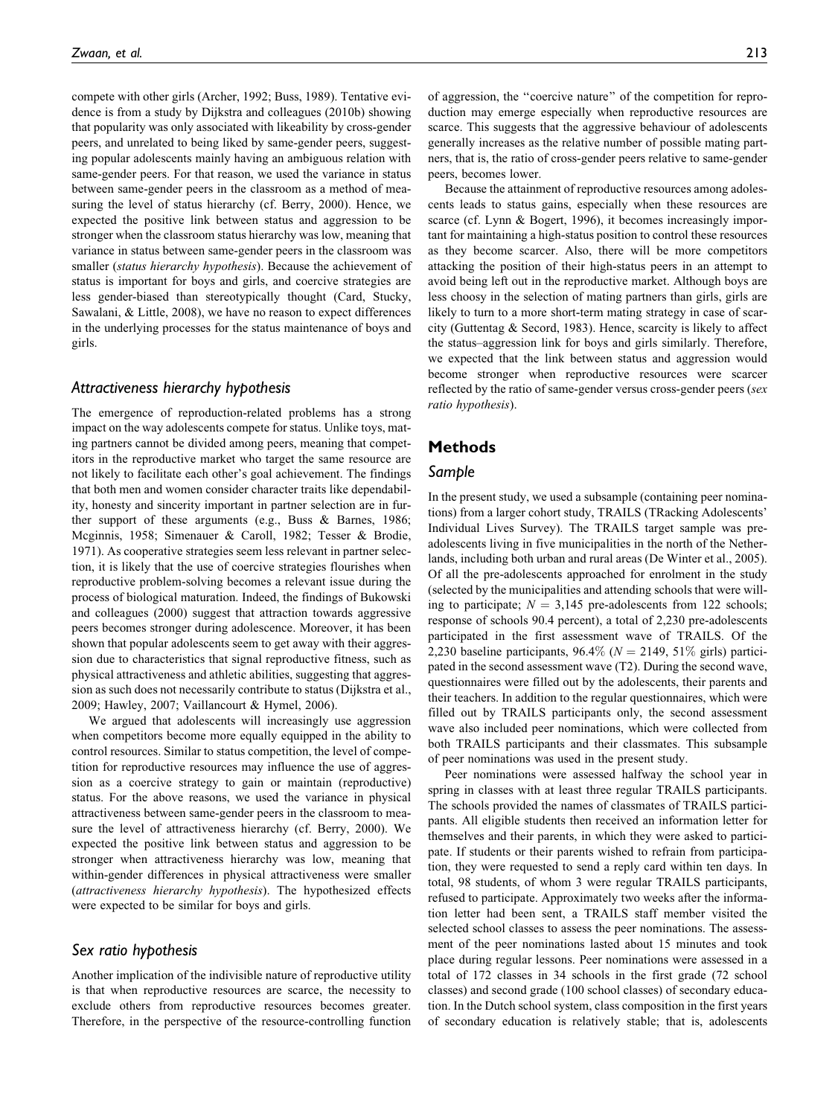compete with other girls (Archer, 1992; Buss, 1989). Tentative evidence is from a study by Dijkstra and colleagues (2010b) showing that popularity was only associated with likeability by cross-gender peers, and unrelated to being liked by same-gender peers, suggesting popular adolescents mainly having an ambiguous relation with same-gender peers. For that reason, we used the variance in status between same-gender peers in the classroom as a method of measuring the level of status hierarchy (cf. Berry, 2000). Hence, we expected the positive link between status and aggression to be stronger when the classroom status hierarchy was low, meaning that variance in status between same-gender peers in the classroom was smaller (status hierarchy hypothesis). Because the achievement of status is important for boys and girls, and coercive strategies are less gender-biased than stereotypically thought (Card, Stucky, Sawalani, & Little, 2008), we have no reason to expect differences in the underlying processes for the status maintenance of boys and girls.

#### Attractiveness hierarchy hypothesis

The emergence of reproduction-related problems has a strong impact on the way adolescents compete for status. Unlike toys, mating partners cannot be divided among peers, meaning that competitors in the reproductive market who target the same resource are not likely to facilitate each other's goal achievement. The findings that both men and women consider character traits like dependability, honesty and sincerity important in partner selection are in further support of these arguments (e.g., Buss & Barnes, 1986; Mcginnis, 1958; Simenauer & Caroll, 1982; Tesser & Brodie, 1971). As cooperative strategies seem less relevant in partner selection, it is likely that the use of coercive strategies flourishes when reproductive problem-solving becomes a relevant issue during the process of biological maturation. Indeed, the findings of Bukowski and colleagues (2000) suggest that attraction towards aggressive peers becomes stronger during adolescence. Moreover, it has been shown that popular adolescents seem to get away with their aggression due to characteristics that signal reproductive fitness, such as physical attractiveness and athletic abilities, suggesting that aggression as such does not necessarily contribute to status (Dijkstra et al., 2009; Hawley, 2007; Vaillancourt & Hymel, 2006).

We argued that adolescents will increasingly use aggression when competitors become more equally equipped in the ability to control resources. Similar to status competition, the level of competition for reproductive resources may influence the use of aggression as a coercive strategy to gain or maintain (reproductive) status. For the above reasons, we used the variance in physical attractiveness between same-gender peers in the classroom to measure the level of attractiveness hierarchy (cf. Berry, 2000). We expected the positive link between status and aggression to be stronger when attractiveness hierarchy was low, meaning that within-gender differences in physical attractiveness were smaller (attractiveness hierarchy hypothesis). The hypothesized effects were expected to be similar for boys and girls.

#### Sex ratio hypothesis

Another implication of the indivisible nature of reproductive utility is that when reproductive resources are scarce, the necessity to exclude others from reproductive resources becomes greater. Therefore, in the perspective of the resource-controlling function of aggression, the ''coercive nature'' of the competition for reproduction may emerge especially when reproductive resources are scarce. This suggests that the aggressive behaviour of adolescents generally increases as the relative number of possible mating partners, that is, the ratio of cross-gender peers relative to same-gender peers, becomes lower.

Because the attainment of reproductive resources among adolescents leads to status gains, especially when these resources are scarce (cf. Lynn & Bogert, 1996), it becomes increasingly important for maintaining a high-status position to control these resources as they become scarcer. Also, there will be more competitors attacking the position of their high-status peers in an attempt to avoid being left out in the reproductive market. Although boys are less choosy in the selection of mating partners than girls, girls are likely to turn to a more short-term mating strategy in case of scarcity (Guttentag & Secord, 1983). Hence, scarcity is likely to affect the status–aggression link for boys and girls similarly. Therefore, we expected that the link between status and aggression would become stronger when reproductive resources were scarcer reflected by the ratio of same-gender versus cross-gender peers (sex ratio hypothesis).

## Methods

#### Sample

In the present study, we used a subsample (containing peer nominations) from a larger cohort study, TRAILS (TRacking Adolescents' Individual Lives Survey). The TRAILS target sample was preadolescents living in five municipalities in the north of the Netherlands, including both urban and rural areas (De Winter et al., 2005). Of all the pre-adolescents approached for enrolment in the study (selected by the municipalities and attending schools that were willing to participate;  $N = 3,145$  pre-adolescents from 122 schools; response of schools 90.4 percent), a total of 2,230 pre-adolescents participated in the first assessment wave of TRAILS. Of the 2,230 baseline participants, 96.4% ( $N = 2149$ , 51% girls) participated in the second assessment wave (T2). During the second wave, questionnaires were filled out by the adolescents, their parents and their teachers. In addition to the regular questionnaires, which were filled out by TRAILS participants only, the second assessment wave also included peer nominations, which were collected from both TRAILS participants and their classmates. This subsample of peer nominations was used in the present study.

Peer nominations were assessed halfway the school year in spring in classes with at least three regular TRAILS participants. The schools provided the names of classmates of TRAILS participants. All eligible students then received an information letter for themselves and their parents, in which they were asked to participate. If students or their parents wished to refrain from participation, they were requested to send a reply card within ten days. In total, 98 students, of whom 3 were regular TRAILS participants, refused to participate. Approximately two weeks after the information letter had been sent, a TRAILS staff member visited the selected school classes to assess the peer nominations. The assessment of the peer nominations lasted about 15 minutes and took place during regular lessons. Peer nominations were assessed in a total of 172 classes in 34 schools in the first grade (72 school classes) and second grade (100 school classes) of secondary education. In the Dutch school system, class composition in the first years of secondary education is relatively stable; that is, adolescents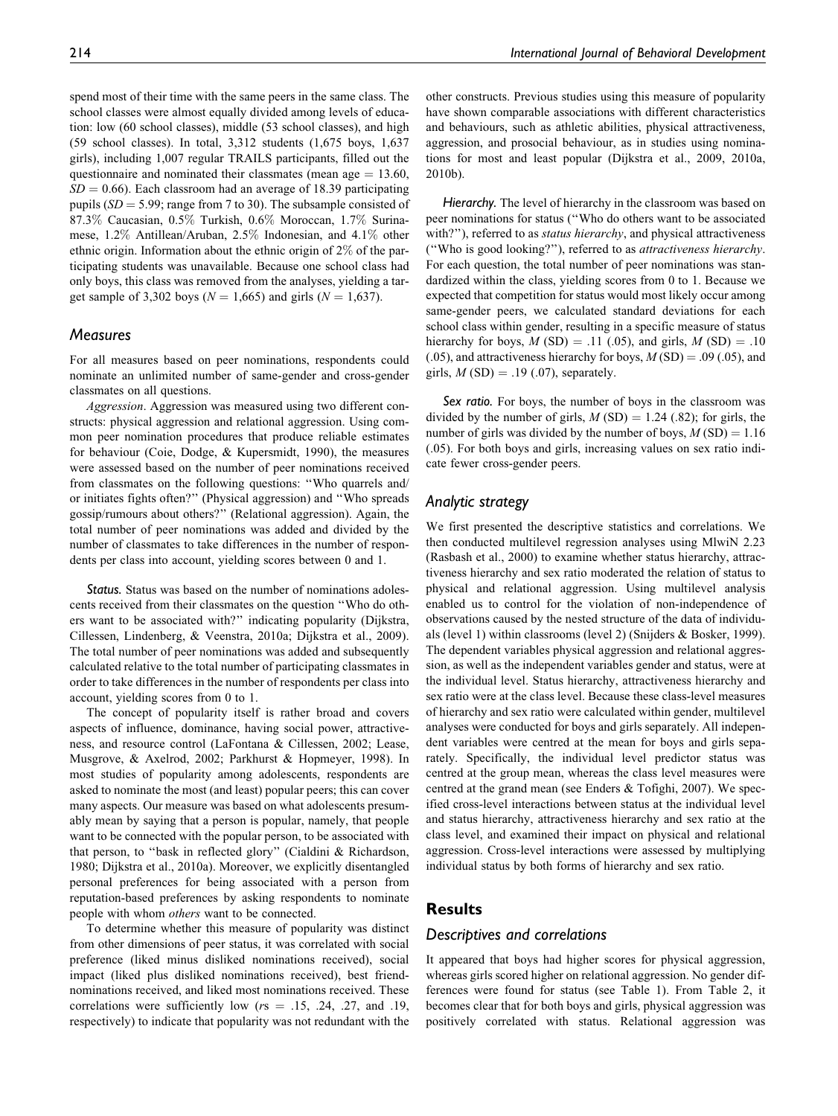spend most of their time with the same peers in the same class. The school classes were almost equally divided among levels of education: low (60 school classes), middle (53 school classes), and high (59 school classes). In total, 3,312 students (1,675 boys, 1,637 girls), including 1,007 regular TRAILS participants, filled out the questionnaire and nominated their classmates (mean age  $= 13.60$ ,  $SD = 0.66$ ). Each classroom had an average of 18.39 participating pupils  $(SD = 5.99$ ; range from 7 to 30). The subsample consisted of 87.3% Caucasian, 0.5% Turkish, 0.6% Moroccan, 1.7% Surinamese, 1.2% Antillean/Aruban, 2.5% Indonesian, and 4.1% other ethnic origin. Information about the ethnic origin of 2% of the participating students was unavailable. Because one school class had only boys, this class was removed from the analyses, yielding a target sample of 3,302 boys ( $N = 1,665$ ) and girls ( $N = 1,637$ ).

#### **Measures**

For all measures based on peer nominations, respondents could nominate an unlimited number of same-gender and cross-gender classmates on all questions.

Aggression. Aggression was measured using two different constructs: physical aggression and relational aggression. Using common peer nomination procedures that produce reliable estimates for behaviour (Coie, Dodge, & Kupersmidt, 1990), the measures were assessed based on the number of peer nominations received from classmates on the following questions: ''Who quarrels and/ or initiates fights often?'' (Physical aggression) and ''Who spreads gossip/rumours about others?'' (Relational aggression). Again, the total number of peer nominations was added and divided by the number of classmates to take differences in the number of respondents per class into account, yielding scores between 0 and 1.

Status. Status was based on the number of nominations adolescents received from their classmates on the question ''Who do others want to be associated with?'' indicating popularity (Dijkstra, Cillessen, Lindenberg, & Veenstra, 2010a; Dijkstra et al., 2009). The total number of peer nominations was added and subsequently calculated relative to the total number of participating classmates in order to take differences in the number of respondents per class into account, yielding scores from 0 to 1.

The concept of popularity itself is rather broad and covers aspects of influence, dominance, having social power, attractiveness, and resource control (LaFontana & Cillessen, 2002; Lease, Musgrove, & Axelrod, 2002; Parkhurst & Hopmeyer, 1998). In most studies of popularity among adolescents, respondents are asked to nominate the most (and least) popular peers; this can cover many aspects. Our measure was based on what adolescents presumably mean by saying that a person is popular, namely, that people want to be connected with the popular person, to be associated with that person, to ''bask in reflected glory'' (Cialdini & Richardson, 1980; Dijkstra et al., 2010a). Moreover, we explicitly disentangled personal preferences for being associated with a person from reputation-based preferences by asking respondents to nominate people with whom others want to be connected.

To determine whether this measure of popularity was distinct from other dimensions of peer status, it was correlated with social preference (liked minus disliked nominations received), social impact (liked plus disliked nominations received), best friendnominations received, and liked most nominations received. These correlations were sufficiently low  $(rs = .15, .24, .27, and .19,$ respectively) to indicate that popularity was not redundant with the other constructs. Previous studies using this measure of popularity have shown comparable associations with different characteristics and behaviours, such as athletic abilities, physical attractiveness, aggression, and prosocial behaviour, as in studies using nominations for most and least popular (Dijkstra et al., 2009, 2010a, 2010b).

Hierarchy. The level of hierarchy in the classroom was based on peer nominations for status (''Who do others want to be associated with?"), referred to as *status hierarchy*, and physical attractiveness (''Who is good looking?''), referred to as attractiveness hierarchy. For each question, the total number of peer nominations was standardized within the class, yielding scores from 0 to 1. Because we expected that competition for status would most likely occur among same-gender peers, we calculated standard deviations for each school class within gender, resulting in a specific measure of status hierarchy for boys,  $M(SD) = .11$  (.05), and girls,  $M(SD) = .10$ (.05), and attractiveness hierarchy for boys,  $M(SD) = .09$  (.05), and girls,  $M(SD) = .19$  (.07), separately.

Sex ratio. For boys, the number of boys in the classroom was divided by the number of girls,  $M(SD) = 1.24$  (.82); for girls, the number of girls was divided by the number of boys,  $M(SD) = 1.16$ (.05). For both boys and girls, increasing values on sex ratio indicate fewer cross-gender peers.

#### Analytic strategy

We first presented the descriptive statistics and correlations. We then conducted multilevel regression analyses using MlwiN 2.23 (Rasbash et al., 2000) to examine whether status hierarchy, attractiveness hierarchy and sex ratio moderated the relation of status to physical and relational aggression. Using multilevel analysis enabled us to control for the violation of non-independence of observations caused by the nested structure of the data of individuals (level 1) within classrooms (level 2) (Snijders & Bosker, 1999). The dependent variables physical aggression and relational aggression, as well as the independent variables gender and status, were at the individual level. Status hierarchy, attractiveness hierarchy and sex ratio were at the class level. Because these class-level measures of hierarchy and sex ratio were calculated within gender, multilevel analyses were conducted for boys and girls separately. All independent variables were centred at the mean for boys and girls separately. Specifically, the individual level predictor status was centred at the group mean, whereas the class level measures were centred at the grand mean (see Enders & Tofighi, 2007). We specified cross-level interactions between status at the individual level and status hierarchy, attractiveness hierarchy and sex ratio at the class level, and examined their impact on physical and relational aggression. Cross-level interactions were assessed by multiplying individual status by both forms of hierarchy and sex ratio.

## **Results**

#### Descriptives and correlations

It appeared that boys had higher scores for physical aggression, whereas girls scored higher on relational aggression. No gender differences were found for status (see Table 1). From Table 2, it becomes clear that for both boys and girls, physical aggression was positively correlated with status. Relational aggression was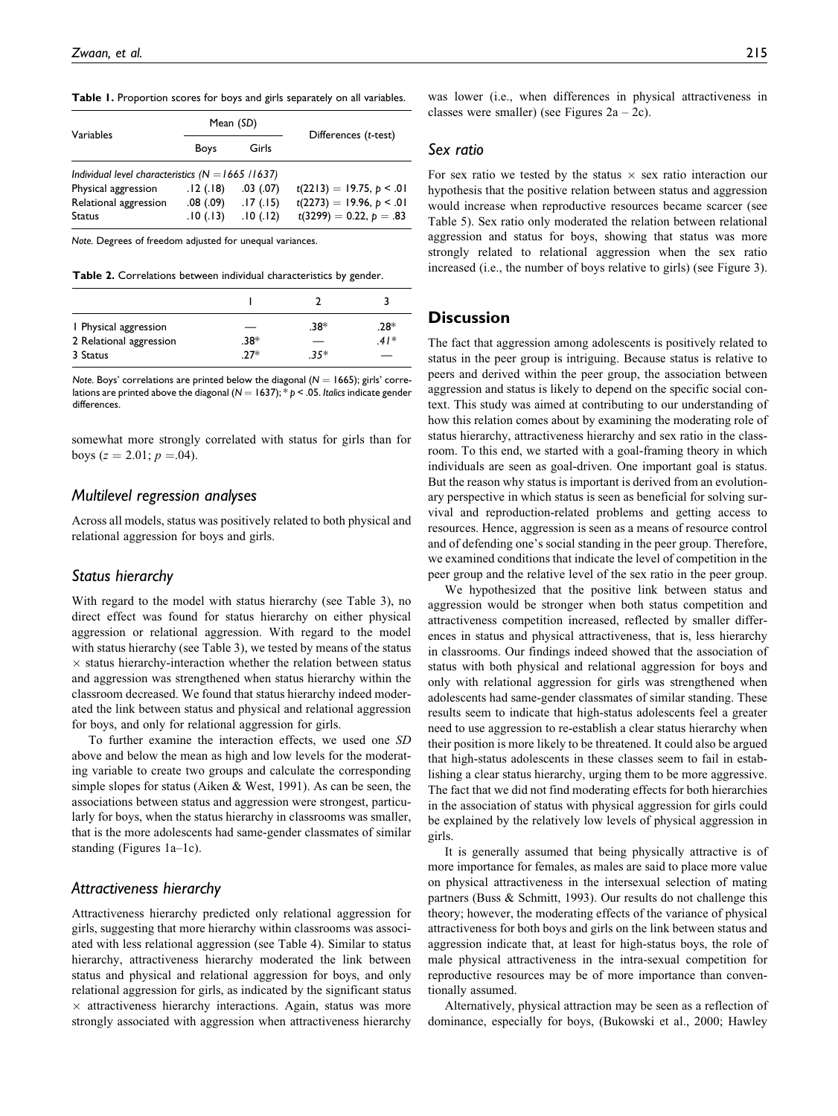Table 1. Proportion scores for boys and girls separately on all variables.

| Variables                                            |             | Mean (SD)     | Differences (t-test)       |  |  |
|------------------------------------------------------|-------------|---------------|----------------------------|--|--|
|                                                      | <b>Boys</b> | Girls         |                            |  |  |
| Individual level characteristics ( $N = 1665$ /1637) |             |               |                            |  |  |
| Physical aggression                                  | .12(.18)    | $.03$ $(.07)$ | $t(2213) = 19.75, p < .01$ |  |  |
| Relational aggression                                | .08(.09)    | .17(.15)      | $t(2273) = 19.96, p < .01$ |  |  |
| <b>Status</b>                                        | .10(.13)    | .10(.12)      | $t(3299) = 0.22, p = .83$  |  |  |

Note. Degrees of freedom adjusted for unequal variances.

Table 2. Correlations between individual characteristics by gender.

| I Physical aggression   |       | $.38*$ | $28*$ |
|-------------------------|-------|--------|-------|
| 2 Relational aggression | .38*  |        | $41*$ |
| 3 Status                | $77*$ | $35*$  |       |

Note. Boys' correlations are printed below the diagonal ( $N = 1665$ ); girls' correlations are printed above the diagonal ( $N = 1637$ );  $* p < .05$ . Italics indicate gender differences.

somewhat more strongly correlated with status for girls than for boys ( $z = 2.01$ ;  $p = .04$ ).

#### Multilevel regression analyses

Across all models, status was positively related to both physical and relational aggression for boys and girls.

#### Status hierarchy

With regard to the model with status hierarchy (see Table 3), no direct effect was found for status hierarchy on either physical aggression or relational aggression. With regard to the model with status hierarchy (see Table 3), we tested by means of the status  $\times$  status hierarchy-interaction whether the relation between status and aggression was strengthened when status hierarchy within the classroom decreased. We found that status hierarchy indeed moderated the link between status and physical and relational aggression for boys, and only for relational aggression for girls.

To further examine the interaction effects, we used one SD above and below the mean as high and low levels for the moderating variable to create two groups and calculate the corresponding simple slopes for status (Aiken & West, 1991). As can be seen, the associations between status and aggression were strongest, particularly for boys, when the status hierarchy in classrooms was smaller, that is the more adolescents had same-gender classmates of similar standing (Figures 1a–1c).

#### Attractiveness hierarchy

Attractiveness hierarchy predicted only relational aggression for girls, suggesting that more hierarchy within classrooms was associated with less relational aggression (see Table 4). Similar to status hierarchy, attractiveness hierarchy moderated the link between status and physical and relational aggression for boys, and only relational aggression for girls, as indicated by the significant status  $\times$  attractiveness hierarchy interactions. Again, status was more strongly associated with aggression when attractiveness hierarchy

#### Sex ratio

For sex ratio we tested by the status  $\times$  sex ratio interaction our hypothesis that the positive relation between status and aggression would increase when reproductive resources became scarcer (see Table 5). Sex ratio only moderated the relation between relational aggression and status for boys, showing that status was more strongly related to relational aggression when the sex ratio increased (i.e., the number of boys relative to girls) (see Figure 3).

## **Discussion**

The fact that aggression among adolescents is positively related to status in the peer group is intriguing. Because status is relative to peers and derived within the peer group, the association between aggression and status is likely to depend on the specific social context. This study was aimed at contributing to our understanding of how this relation comes about by examining the moderating role of status hierarchy, attractiveness hierarchy and sex ratio in the classroom. To this end, we started with a goal-framing theory in which individuals are seen as goal-driven. One important goal is status. But the reason why status is important is derived from an evolutionary perspective in which status is seen as beneficial for solving survival and reproduction-related problems and getting access to resources. Hence, aggression is seen as a means of resource control and of defending one's social standing in the peer group. Therefore, we examined conditions that indicate the level of competition in the peer group and the relative level of the sex ratio in the peer group.

We hypothesized that the positive link between status and aggression would be stronger when both status competition and attractiveness competition increased, reflected by smaller differences in status and physical attractiveness, that is, less hierarchy in classrooms. Our findings indeed showed that the association of status with both physical and relational aggression for boys and only with relational aggression for girls was strengthened when adolescents had same-gender classmates of similar standing. These results seem to indicate that high-status adolescents feel a greater need to use aggression to re-establish a clear status hierarchy when their position is more likely to be threatened. It could also be argued that high-status adolescents in these classes seem to fail in establishing a clear status hierarchy, urging them to be more aggressive. The fact that we did not find moderating effects for both hierarchies in the association of status with physical aggression for girls could be explained by the relatively low levels of physical aggression in girls.

It is generally assumed that being physically attractive is of more importance for females, as males are said to place more value on physical attractiveness in the intersexual selection of mating partners (Buss & Schmitt, 1993). Our results do not challenge this theory; however, the moderating effects of the variance of physical attractiveness for both boys and girls on the link between status and aggression indicate that, at least for high-status boys, the role of male physical attractiveness in the intra-sexual competition for reproductive resources may be of more importance than conventionally assumed.

Alternatively, physical attraction may be seen as a reflection of dominance, especially for boys, (Bukowski et al., 2000; Hawley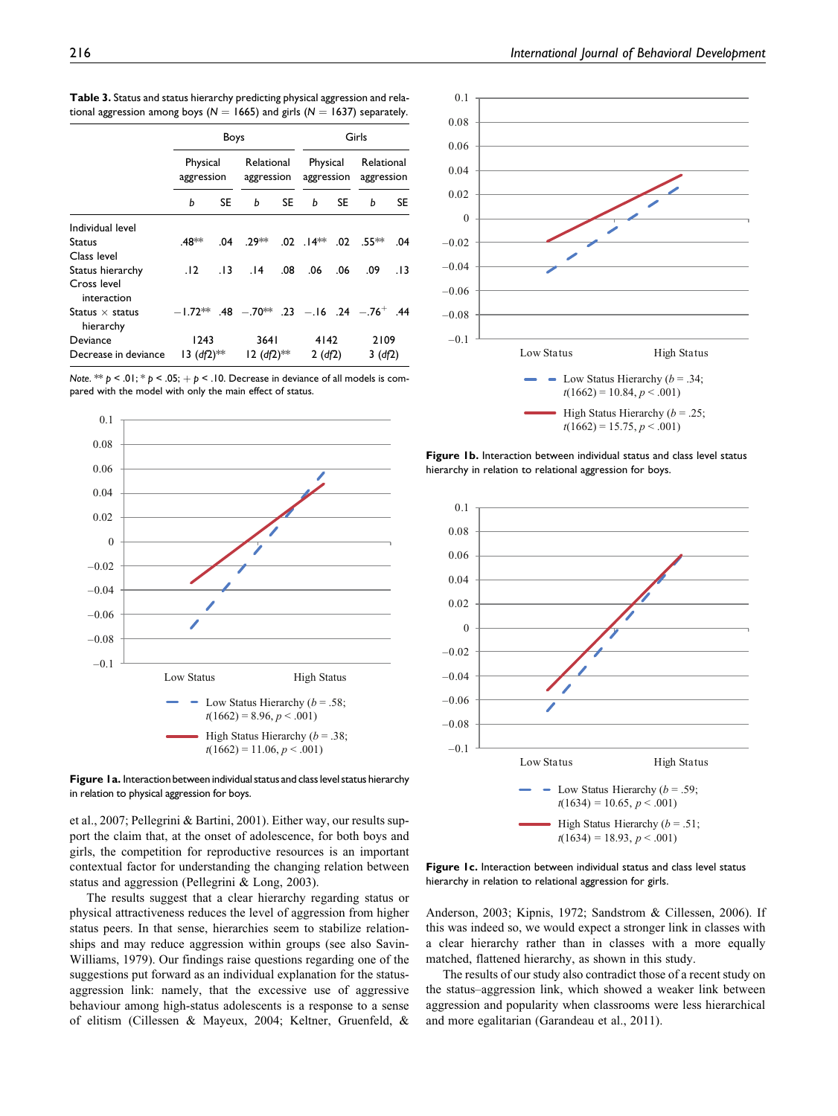|                                     | Boys                                         |     |                          |     | Girls                  |     |                          |      |
|-------------------------------------|----------------------------------------------|-----|--------------------------|-----|------------------------|-----|--------------------------|------|
|                                     | Physical<br>aggression                       |     | Relational<br>aggression |     | Physical<br>aggression |     | Relational<br>aggression |      |
|                                     | b                                            | SE  | b                        | SE  | b                      | SE  | b                        | SE   |
| Individual level                    |                                              |     |                          |     |                        |     |                          |      |
| <b>Status</b>                       | .48**                                        | .04 | א≭99                     |     | $.02$ $.14**$          | .02 | .55**                    | .04  |
| Class level                         |                                              |     |                          |     |                        |     |                          |      |
| Status hierarchy                    | .12                                          | .13 | 14                       | .08 | .06                    | .06 | .09                      | . 13 |
| Cross level<br>interaction          |                                              |     |                          |     |                        |     |                          |      |
| Status $\times$ status<br>hierarchy | $-1.72**$ 48 $-.70**$ 23 $-.16$ 24 $-.76$ 44 |     |                          |     |                        |     |                          |      |
| Deviance                            | 1243                                         |     | 3641                     |     | 4142                   |     | 2109                     |      |
| Decrease in deviance                | 13 (df2) <sup>**</sup>                       |     | 12 (df2) <sup>**</sup>   |     | 2(df2)                 |     | 3(df2)                   |      |

Table 3. Status and status hierarchy predicting physical aggression and relational aggression among boys ( $N = 1665$ ) and girls ( $N = 1637$ ) separately.

Note. \*\*  $p < 0.01$ ; \*  $p < 0.05$ ; +  $p < 0.10$ . Decrease in deviance of all models is compared with the model with only the main effect of status.





et al., 2007; Pellegrini & Bartini, 2001). Either way, our results support the claim that, at the onset of adolescence, for both boys and girls, the competition for reproductive resources is an important contextual factor for understanding the changing relation between status and aggression (Pellegrini & Long, 2003).

The results suggest that a clear hierarchy regarding status or physical attractiveness reduces the level of aggression from higher status peers. In that sense, hierarchies seem to stabilize relationships and may reduce aggression within groups (see also Savin-Williams, 1979). Our findings raise questions regarding one of the suggestions put forward as an individual explanation for the statusaggression link: namely, that the excessive use of aggressive behaviour among high-status adolescents is a response to a sense of elitism (Cillessen & Mayeux, 2004; Keltner, Gruenfeld, &



Figure 1b. Interaction between individual status and class level status hierarchy in relation to relational aggression for boys.





Anderson, 2003; Kipnis, 1972; Sandstrom & Cillessen, 2006). If this was indeed so, we would expect a stronger link in classes with a clear hierarchy rather than in classes with a more equally matched, flattened hierarchy, as shown in this study.

The results of our study also contradict those of a recent study on the status–aggression link, which showed a weaker link between aggression and popularity when classrooms were less hierarchical and more egalitarian (Garandeau et al., 2011).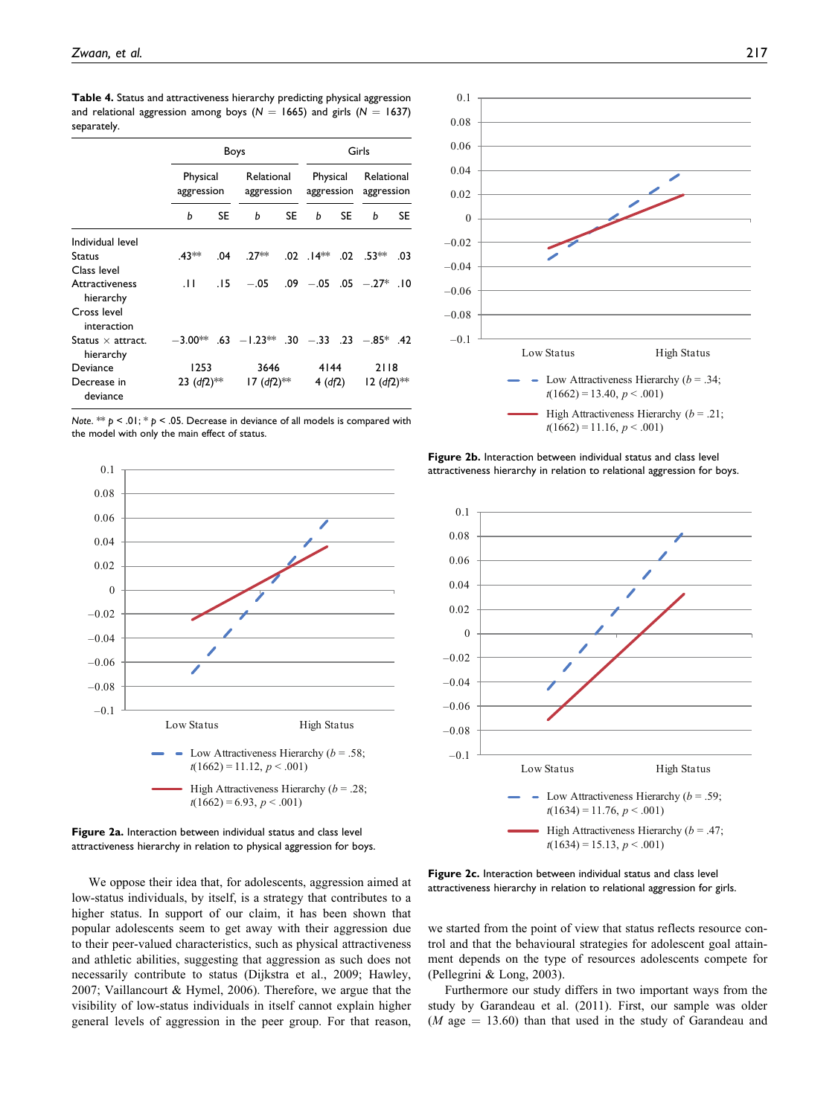Table 4. Status and attractiveness hierarchy predicting physical aggression and relational aggression among boys ( $N = 1665$ ) and girls ( $N = 1637$ ) separately.

|                                       |           | Boys                   |                    |                          |               | Girls                  |                            |                          |  |
|---------------------------------------|-----------|------------------------|--------------------|--------------------------|---------------|------------------------|----------------------------|--------------------------|--|
|                                       |           | Physical<br>aggression |                    | Relational<br>aggression |               | Physical<br>aggression |                            | Relational<br>aggression |  |
|                                       | b         | SE                     | b                  | SE.                      | b             | SE                     | b                          | SE                       |  |
| Individual level                      |           |                        |                    |                          |               |                        |                            |                          |  |
| <b>Status</b>                         | .43 **    | .04                    | $.77**$            |                          | $.02$ $.14**$ | .02                    | $.53**$                    | .03                      |  |
| Class level                           |           |                        |                    |                          |               |                        |                            |                          |  |
| <b>Attractiveness</b><br>hierarchy    | .H        | .15                    | $-.05$             |                          |               |                        | $.09 - 05 - 05 - 27$ * .10 |                          |  |
| Cross level<br>interaction            |           |                        |                    |                          |               |                        |                            |                          |  |
| Status $\times$ attract.<br>hierarchy | $-3.00**$ |                        | $.63 - 1.23**$ .30 |                          |               |                        | $-.33$ $.23$ $-.85*$ $.42$ |                          |  |
| Deviance                              |           | 1253                   |                    | 3646                     |               | 4144                   |                            | 2118                     |  |
| Decrease in<br>deviance               |           | 23 $(df2)$ **          |                    | $17 (df2)$ **            |               | 4(df2)                 |                            | 12 $(df2)$ **            |  |





Figure 2a. Interaction between individual status and class level attractiveness hierarchy in relation to physical aggression for boys.

We oppose their idea that, for adolescents, aggression aimed at low-status individuals, by itself, is a strategy that contributes to a higher status. In support of our claim, it has been shown that popular adolescents seem to get away with their aggression due to their peer-valued characteristics, such as physical attractiveness and athletic abilities, suggesting that aggression as such does not necessarily contribute to status (Dijkstra et al., 2009; Hawley, 2007; Vaillancourt & Hymel, 2006). Therefore, we argue that the visibility of low-status individuals in itself cannot explain higher general levels of aggression in the peer group. For that reason,



Figure 2b. Interaction between individual status and class level attractiveness hierarchy in relation to relational aggression for boys.



Figure 2c. Interaction between individual status and class level attractiveness hierarchy in relation to relational aggression for girls.

we started from the point of view that status reflects resource control and that the behavioural strategies for adolescent goal attainment depends on the type of resources adolescents compete for (Pellegrini & Long, 2003).

Furthermore our study differs in two important ways from the study by Garandeau et al. (2011). First, our sample was older  $(M \t{age} = 13.60)$  than that used in the study of Garandeau and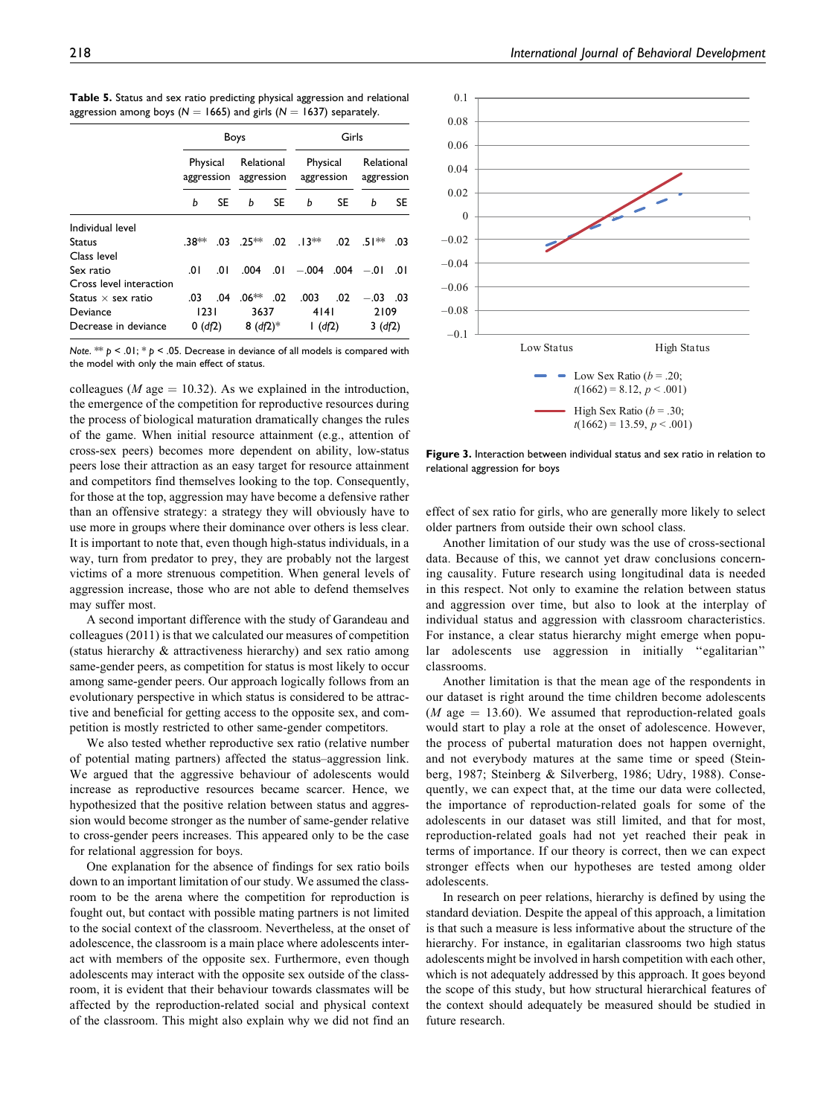|                           | Boys         |     |                                     |     | Girls                  |        |                          |        |  |
|---------------------------|--------------|-----|-------------------------------------|-----|------------------------|--------|--------------------------|--------|--|
|                           | Physical     |     | Relational<br>aggression aggression |     | Physical<br>aggression |        | Relational<br>aggression |        |  |
|                           | b            | SE  | b                                   | SE  | b                      | SE     | b                        | SE     |  |
| Individual level          |              |     |                                     |     |                        |        |                          |        |  |
| <b>Status</b>             | .38**        |     | $.03$ $.25**$                       |     | $.02$ $.13**$          |        | $.02 \t .51**$           | .03    |  |
| Class level               |              |     |                                     |     |                        |        |                          |        |  |
| Sex ratio                 | .01          | .01 | .004                                | .01 | $-.004$ .004 $-.01$    |        |                          | .01    |  |
| Cross level interaction   |              |     |                                     |     |                        |        |                          |        |  |
| Status $\times$ sex ratio | .03          | .04 | .06**                               | .02 | .003                   | .02    | $-.03$ .03               |        |  |
| Deviance                  | 1231         |     | 3637                                |     | 4141                   |        | 2109                     |        |  |
| Decrease in deviance      | $0($ d $f2)$ |     | 8 $(df2)*$                          |     |                        | I(df2) |                          | 3(df2) |  |

Table 5. Status and sex ratio predicting physical aggression and relational aggression among boys ( $N = 1665$ ) and girls ( $N = 1637$ ) separately.

Note.  $**$   $p < 0$ 1;  $*$   $p < 0$ 5. Decrease in deviance of all models is compared with the model with only the main effect of status.

colleagues (*M* age  $= 10.32$ ). As we explained in the introduction, the emergence of the competition for reproductive resources during the process of biological maturation dramatically changes the rules of the game. When initial resource attainment (e.g., attention of cross-sex peers) becomes more dependent on ability, low-status peers lose their attraction as an easy target for resource attainment and competitors find themselves looking to the top. Consequently, for those at the top, aggression may have become a defensive rather than an offensive strategy: a strategy they will obviously have to use more in groups where their dominance over others is less clear. It is important to note that, even though high-status individuals, in a way, turn from predator to prey, they are probably not the largest victims of a more strenuous competition. When general levels of aggression increase, those who are not able to defend themselves may suffer most.

A second important difference with the study of Garandeau and colleagues (2011) is that we calculated our measures of competition (status hierarchy & attractiveness hierarchy) and sex ratio among same-gender peers, as competition for status is most likely to occur among same-gender peers. Our approach logically follows from an evolutionary perspective in which status is considered to be attractive and beneficial for getting access to the opposite sex, and competition is mostly restricted to other same-gender competitors.

We also tested whether reproductive sex ratio (relative number of potential mating partners) affected the status–aggression link. We argued that the aggressive behaviour of adolescents would increase as reproductive resources became scarcer. Hence, we hypothesized that the positive relation between status and aggression would become stronger as the number of same-gender relative to cross-gender peers increases. This appeared only to be the case for relational aggression for boys.

One explanation for the absence of findings for sex ratio boils down to an important limitation of our study. We assumed the classroom to be the arena where the competition for reproduction is fought out, but contact with possible mating partners is not limited to the social context of the classroom. Nevertheless, at the onset of adolescence, the classroom is a main place where adolescents interact with members of the opposite sex. Furthermore, even though adolescents may interact with the opposite sex outside of the classroom, it is evident that their behaviour towards classmates will be affected by the reproduction-related social and physical context of the classroom. This might also explain why we did not find an



Figure 3. Interaction between individual status and sex ratio in relation to relational aggression for boys

effect of sex ratio for girls, who are generally more likely to select older partners from outside their own school class.

Another limitation of our study was the use of cross-sectional data. Because of this, we cannot yet draw conclusions concerning causality. Future research using longitudinal data is needed in this respect. Not only to examine the relation between status and aggression over time, but also to look at the interplay of individual status and aggression with classroom characteristics. For instance, a clear status hierarchy might emerge when popular adolescents use aggression in initially ''egalitarian'' classrooms.

Another limitation is that the mean age of the respondents in our dataset is right around the time children become adolescents (*M* age  $= 13.60$ ). We assumed that reproduction-related goals would start to play a role at the onset of adolescence. However, the process of pubertal maturation does not happen overnight, and not everybody matures at the same time or speed (Steinberg, 1987; Steinberg & Silverberg, 1986; Udry, 1988). Consequently, we can expect that, at the time our data were collected, the importance of reproduction-related goals for some of the adolescents in our dataset was still limited, and that for most, reproduction-related goals had not yet reached their peak in terms of importance. If our theory is correct, then we can expect stronger effects when our hypotheses are tested among older adolescents.

In research on peer relations, hierarchy is defined by using the standard deviation. Despite the appeal of this approach, a limitation is that such a measure is less informative about the structure of the hierarchy. For instance, in egalitarian classrooms two high status adolescents might be involved in harsh competition with each other, which is not adequately addressed by this approach. It goes beyond the scope of this study, but how structural hierarchical features of the context should adequately be measured should be studied in future research.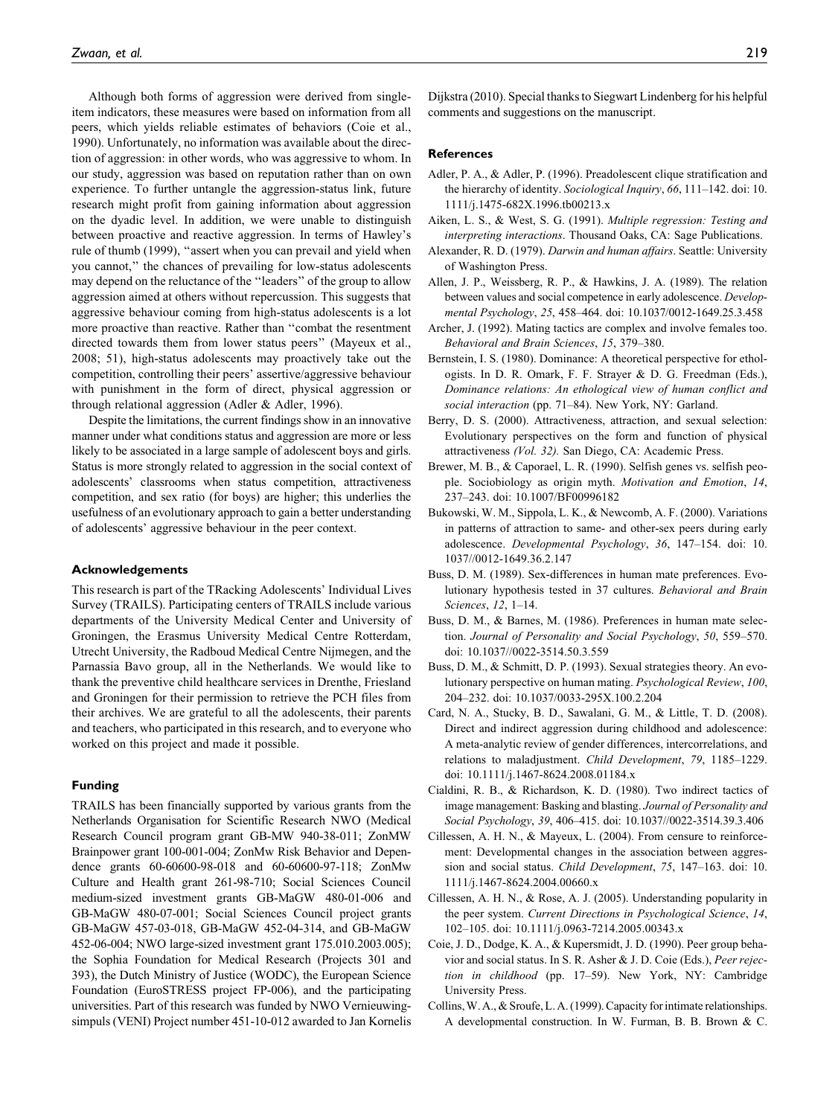Although both forms of aggression were derived from singleitem indicators, these measures were based on information from all peers, which yields reliable estimates of behaviors (Coie et al., 1990). Unfortunately, no information was available about the direction of aggression: in other words, who was aggressive to whom. In our study, aggression was based on reputation rather than on own experience. To further untangle the aggression-status link, future research might profit from gaining information about aggression on the dyadic level. In addition, we were unable to distinguish between proactive and reactive aggression. In terms of Hawley's rule of thumb (1999), "assert when you can prevail and yield when you cannot,'' the chances of prevailing for low-status adolescents may depend on the reluctance of the ''leaders'' of the group to allow aggression aimed at others without repercussion. This suggests that aggressive behaviour coming from high-status adolescents is a lot more proactive than reactive. Rather than ''combat the resentment directed towards them from lower status peers'' (Mayeux et al., 2008; 51), high-status adolescents may proactively take out the competition, controlling their peers' assertive/aggressive behaviour with punishment in the form of direct, physical aggression or through relational aggression (Adler & Adler, 1996).

Despite the limitations, the current findings show in an innovative manner under what conditions status and aggression are more or less likely to be associated in a large sample of adolescent boys and girls. Status is more strongly related to aggression in the social context of adolescents' classrooms when status competition, attractiveness competition, and sex ratio (for boys) are higher; this underlies the usefulness of an evolutionary approach to gain a better understanding of adolescents' aggressive behaviour in the peer context.

#### Acknowledgements

This research is part of the TRacking Adolescents' Individual Lives Survey (TRAILS). Participating centers of TRAILS include various departments of the University Medical Center and University of Groningen, the Erasmus University Medical Centre Rotterdam, Utrecht University, the Radboud Medical Centre Nijmegen, and the Parnassia Bavo group, all in the Netherlands. We would like to thank the preventive child healthcare services in Drenthe, Friesland and Groningen for their permission to retrieve the PCH files from their archives. We are grateful to all the adolescents, their parents and teachers, who participated in this research, and to everyone who worked on this project and made it possible.

#### Funding

TRAILS has been financially supported by various grants from the Netherlands Organisation for Scientific Research NWO (Medical Research Council program grant GB-MW 940-38-011; ZonMW Brainpower grant 100-001-004; ZonMw Risk Behavior and Dependence grants 60-60600-98-018 and 60-60600-97-118; ZonMw Culture and Health grant 261-98-710; Social Sciences Council medium-sized investment grants GB-MaGW 480-01-006 and GB-MaGW 480-07-001; Social Sciences Council project grants GB-MaGW 457-03-018, GB-MaGW 452-04-314, and GB-MaGW 452-06-004; NWO large-sized investment grant 175.010.2003.005); the Sophia Foundation for Medical Research (Projects 301 and 393), the Dutch Ministry of Justice (WODC), the European Science Foundation (EuroSTRESS project FP-006), and the participating universities. Part of this research was funded by NWO Vernieuwingsimpuls (VENI) Project number 451-10-012 awarded to Jan Kornelis

Dijkstra (2010). Special thanks to Siegwart Lindenberg for his helpful comments and suggestions on the manuscript.

#### **References**

- Adler, P. A., & Adler, P. (1996). Preadolescent clique stratification and the hierarchy of identity. Sociological Inquiry, 66, 111–142. doi: 10. 1111/j.1475-682X.1996.tb00213.x
- Aiken, L. S., & West, S. G. (1991). Multiple regression: Testing and interpreting interactions. Thousand Oaks, CA: Sage Publications.
- Alexander, R. D. (1979). Darwin and human affairs. Seattle: University of Washington Press.
- Allen, J. P., Weissberg, R. P., & Hawkins, J. A. (1989). The relation between values and social competence in early adolescence. Developmental Psychology, 25, 458–464. doi: 10.1037/0012-1649.25.3.458
- Archer, J. (1992). Mating tactics are complex and involve females too. Behavioral and Brain Sciences, 15, 379–380.
- Bernstein, I. S. (1980). Dominance: A theoretical perspective for ethologists. In D. R. Omark, F. F. Strayer & D. G. Freedman (Eds.), Dominance relations: An ethological view of human conflict and social interaction (pp. 71–84). New York, NY: Garland.
- Berry, D. S. (2000). Attractiveness, attraction, and sexual selection: Evolutionary perspectives on the form and function of physical attractiveness (Vol. 32). San Diego, CA: Academic Press.
- Brewer, M. B., & Caporael, L. R. (1990). Selfish genes vs. selfish people. Sociobiology as origin myth. Motivation and Emotion, 14, 237–243. doi: 10.1007/BF00996182
- Bukowski, W. M., Sippola, L. K., & Newcomb, A. F. (2000). Variations in patterns of attraction to same- and other-sex peers during early adolescence. Developmental Psychology, 36, 147–154. doi: 10. 1037//0012-1649.36.2.147
- Buss, D. M. (1989). Sex-differences in human mate preferences. Evolutionary hypothesis tested in 37 cultures. Behavioral and Brain Sciences, 12, 1–14.
- Buss, D. M., & Barnes, M. (1986). Preferences in human mate selection. Journal of Personality and Social Psychology, 50, 559–570. doi: 10.1037//0022-3514.50.3.559
- Buss, D. M., & Schmitt, D. P. (1993). Sexual strategies theory. An evolutionary perspective on human mating. Psychological Review, 100, 204–232. doi: 10.1037/0033-295X.100.2.204
- Card, N. A., Stucky, B. D., Sawalani, G. M., & Little, T. D. (2008). Direct and indirect aggression during childhood and adolescence: A meta-analytic review of gender differences, intercorrelations, and relations to maladjustment. Child Development, 79, 1185–1229. doi: 10.1111/j.1467-8624.2008.01184.x
- Cialdini, R. B., & Richardson, K. D. (1980). Two indirect tactics of image management: Basking and blasting. Journal of Personality and Social Psychology, 39, 406–415. doi: 10.1037//0022-3514.39.3.406
- Cillessen, A. H. N., & Mayeux, L. (2004). From censure to reinforcement: Developmental changes in the association between aggression and social status. Child Development, 75, 147–163. doi: 10. 1111/j.1467-8624.2004.00660.x
- Cillessen, A. H. N., & Rose, A. J. (2005). Understanding popularity in the peer system. Current Directions in Psychological Science, 14, 102–105. doi: 10.1111/j.0963-7214.2005.00343.x
- Coie, J. D., Dodge, K. A., & Kupersmidt, J. D. (1990). Peer group behavior and social status. In S. R. Asher & J. D. Coie (Eds.), Peer rejection in childhood (pp. 17–59). New York, NY: Cambridge University Press.
- Collins,W. A., & Sroufe, L. A. (1999). Capacity for intimate relationships. A developmental construction. In W. Furman, B. B. Brown & C.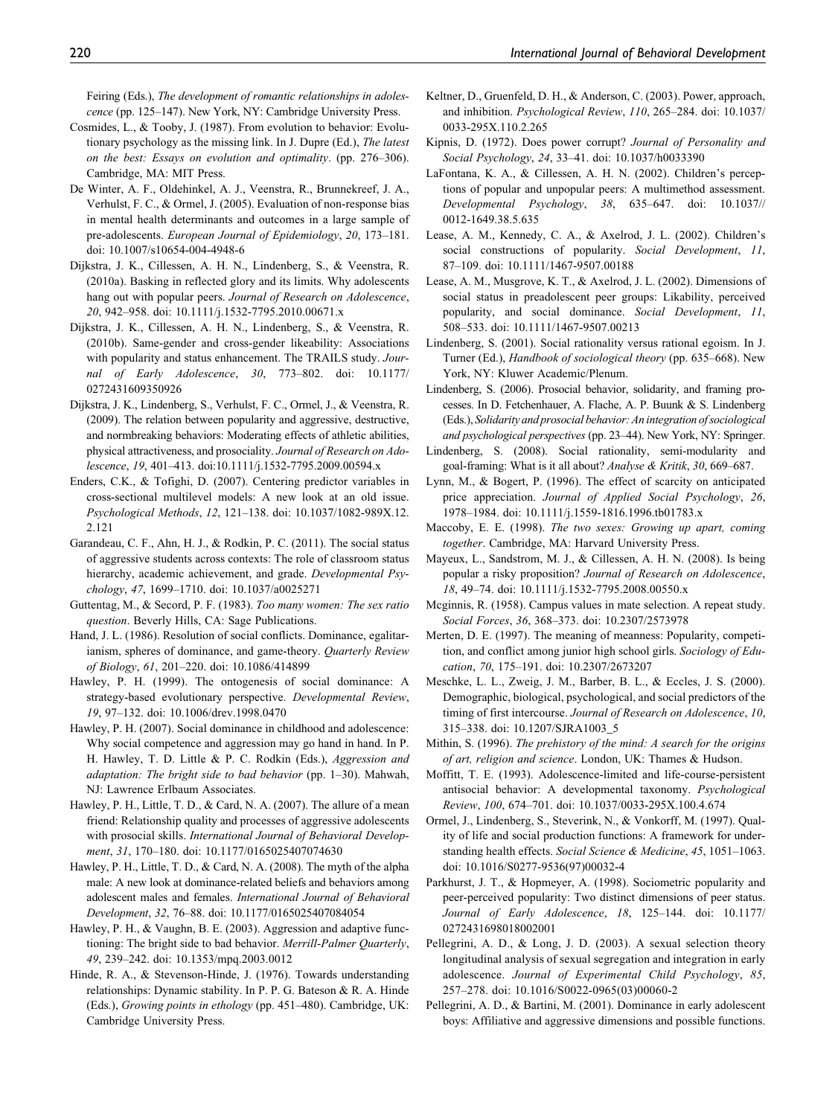Feiring (Eds.), The development of romantic relationships in adolescence (pp. 125–147). New York, NY: Cambridge University Press.

- Cosmides, L., & Tooby, J. (1987). From evolution to behavior: Evolutionary psychology as the missing link. In J. Dupre (Ed.), The latest on the best: Essays on evolution and optimality. (pp. 276–306). Cambridge, MA: MIT Press.
- De Winter, A. F., Oldehinkel, A. J., Veenstra, R., Brunnekreef, J. A., Verhulst, F. C., & Ormel, J. (2005). Evaluation of non-response bias in mental health determinants and outcomes in a large sample of pre-adolescents. European Journal of Epidemiology, 20, 173–181. doi: 10.1007/s10654-004-4948-6
- Dijkstra, J. K., Cillessen, A. H. N., Lindenberg, S., & Veenstra, R. (2010a). Basking in reflected glory and its limits. Why adolescents hang out with popular peers. Journal of Research on Adolescence, 20, 942–958. doi: 10.1111/j.1532-7795.2010.00671.x
- Dijkstra, J. K., Cillessen, A. H. N., Lindenberg, S., & Veenstra, R. (2010b). Same-gender and cross-gender likeability: Associations with popularity and status enhancement. The TRAILS study. Journal of Early Adolescence, 30, 773–802. doi: 10.1177/ 0272431609350926
- Dijkstra, J. K., Lindenberg, S., Verhulst, F. C., Ormel, J., & Veenstra, R. (2009). The relation between popularity and aggressive, destructive, and normbreaking behaviors: Moderating effects of athletic abilities, physical attractiveness, and prosociality. Journal of Research on Adolescence, 19, 401–413. doi:10.1111/j.1532-7795.2009.00594.x
- Enders, C.K., & Tofighi, D. (2007). Centering predictor variables in cross-sectional multilevel models: A new look at an old issue. Psychological Methods, 12, 121–138. doi: 10.1037/1082-989X.12. 2.121
- Garandeau, C. F., Ahn, H. J., & Rodkin, P. C. (2011). The social status of aggressive students across contexts: The role of classroom status hierarchy, academic achievement, and grade. Developmental Psychology, 47, 1699–1710. doi: 10.1037/a0025271
- Guttentag, M., & Secord, P. F. (1983). Too many women: The sex ratio question. Beverly Hills, CA: Sage Publications.
- Hand, J. L. (1986). Resolution of social conflicts. Dominance, egalitarianism, spheres of dominance, and game-theory. Quarterly Review of Biology, 61, 201–220. doi: 10.1086/414899
- Hawley, P. H. (1999). The ontogenesis of social dominance: A strategy-based evolutionary perspective. Developmental Review, 19, 97–132. doi: 10.1006/drev.1998.0470
- Hawley, P. H. (2007). Social dominance in childhood and adolescence: Why social competence and aggression may go hand in hand. In P. H. Hawley, T. D. Little & P. C. Rodkin (Eds.), Aggression and adaptation: The bright side to bad behavior (pp. 1–30). Mahwah, NJ: Lawrence Erlbaum Associates.
- Hawley, P. H., Little, T. D., & Card, N. A. (2007). The allure of a mean friend: Relationship quality and processes of aggressive adolescents with prosocial skills. International Journal of Behavioral Development, 31, 170–180. doi: 10.1177/0165025407074630
- Hawley, P. H., Little, T. D., & Card, N. A. (2008). The myth of the alpha male: A new look at dominance-related beliefs and behaviors among adolescent males and females. International Journal of Behavioral Development, 32, 76–88. doi: 10.1177/0165025407084054
- Hawley, P. H., & Vaughn, B. E. (2003). Aggression and adaptive functioning: The bright side to bad behavior. Merrill-Palmer Quarterly, 49, 239–242. doi: 10.1353/mpq.2003.0012
- Hinde, R. A., & Stevenson-Hinde, J. (1976). Towards understanding relationships: Dynamic stability. In P. P. G. Bateson & R. A. Hinde (Eds.), Growing points in ethology (pp. 451–480). Cambridge, UK: Cambridge University Press.
- Keltner, D., Gruenfeld, D. H., & Anderson, C. (2003). Power, approach, and inhibition. Psychological Review, 110, 265–284. doi: 10.1037/ 0033-295X.110.2.265
- Kipnis, D. (1972). Does power corrupt? Journal of Personality and Social Psychology, 24, 33–41. doi: 10.1037/h0033390
- LaFontana, K. A., & Cillessen, A. H. N. (2002). Children's perceptions of popular and unpopular peers: A multimethod assessment. Developmental Psychology, 38, 635–647. doi: 10.1037// 0012-1649.38.5.635
- Lease, A. M., Kennedy, C. A., & Axelrod, J. L. (2002). Children's social constructions of popularity. Social Development, 11, 87–109. doi: 10.1111/1467-9507.00188
- Lease, A. M., Musgrove, K. T., & Axelrod, J. L. (2002). Dimensions of social status in preadolescent peer groups: Likability, perceived popularity, and social dominance. Social Development, 11, 508–533. doi: 10.1111/1467-9507.00213
- Lindenberg, S. (2001). Social rationality versus rational egoism. In J. Turner (Ed.), Handbook of sociological theory (pp. 635–668). New York, NY: Kluwer Academic/Plenum.
- Lindenberg, S. (2006). Prosocial behavior, solidarity, and framing processes. In D. Fetchenhauer, A. Flache, A. P. Buunk & S. Lindenberg (Eds.), Solidarity and prosocial behavior: Anintegration of sociological and psychological perspectives (pp. 23–44). New York, NY: Springer.
- Lindenberg, S. (2008). Social rationality, semi-modularity and goal-framing: What is it all about? Analyse & Kritik, 30, 669–687.
- Lynn, M., & Bogert, P. (1996). The effect of scarcity on anticipated price appreciation. Journal of Applied Social Psychology, 26, 1978–1984. doi: 10.1111/j.1559-1816.1996.tb01783.x
- Maccoby, E. E. (1998). The two sexes: Growing up apart, coming together. Cambridge, MA: Harvard University Press.
- Mayeux, L., Sandstrom, M. J., & Cillessen, A. H. N. (2008). Is being popular a risky proposition? Journal of Research on Adolescence, 18, 49–74. doi: 10.1111/j.1532-7795.2008.00550.x
- Mcginnis, R. (1958). Campus values in mate selection. A repeat study. Social Forces, 36, 368–373. doi: 10.2307/2573978
- Merten, D. E. (1997). The meaning of meanness: Popularity, competition, and conflict among junior high school girls. Sociology of Education, 70, 175–191. doi: 10.2307/2673207
- Meschke, L. L., Zweig, J. M., Barber, B. L., & Eccles, J. S. (2000). Demographic, biological, psychological, and social predictors of the timing of first intercourse. Journal of Research on Adolescence, 10, 315–338. doi: 10.1207/SJRA1003\_5
- Mithin, S. (1996). The prehistory of the mind: A search for the origins of art, religion and science. London, UK: Thames & Hudson.
- Moffitt, T. E. (1993). Adolescence-limited and life-course-persistent antisocial behavior: A developmental taxonomy. Psychological Review, 100, 674–701. doi: 10.1037/0033-295X.100.4.674
- Ormel, J., Lindenberg, S., Steverink, N., & Vonkorff, M. (1997). Quality of life and social production functions: A framework for understanding health effects. Social Science & Medicine, 45, 1051–1063. doi: 10.1016/S0277-9536(97)00032-4
- Parkhurst, J. T., & Hopmeyer, A. (1998). Sociometric popularity and peer-perceived popularity: Two distinct dimensions of peer status. Journal of Early Adolescence, 18, 125–144. doi: 10.1177/ 0272431698018002001
- Pellegrini, A. D., & Long, J. D. (2003). A sexual selection theory longitudinal analysis of sexual segregation and integration in early adolescence. Journal of Experimental Child Psychology, 85, 257–278. doi: 10.1016/S0022-0965(03)00060-2
- Pellegrini, A. D., & Bartini, M. (2001). Dominance in early adolescent boys: Affiliative and aggressive dimensions and possible functions.